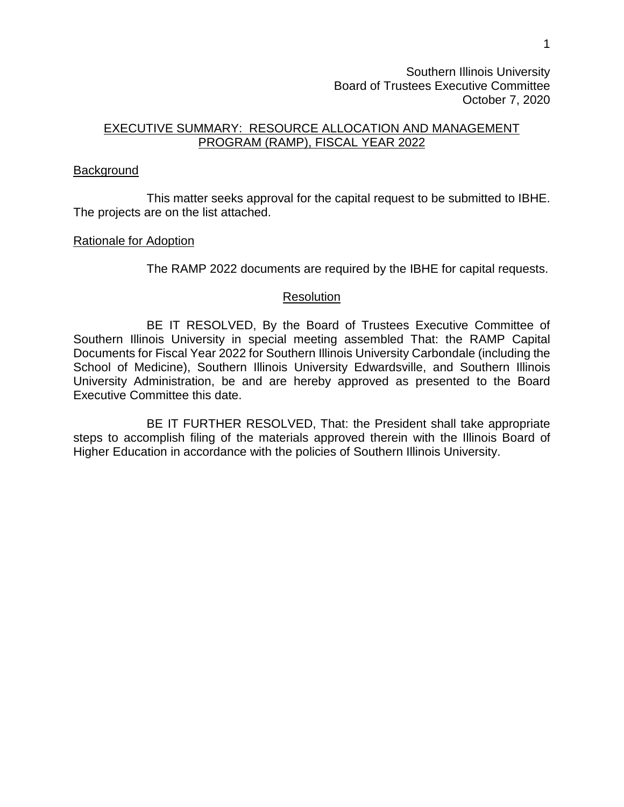Southern Illinois University Board of Trustees Executive Committee October 7, 2020

## EXECUTIVE SUMMARY: RESOURCE ALLOCATION AND MANAGEMENT PROGRAM (RAMP), FISCAL YEAR 2022

## Background

This matter seeks approval for the capital request to be submitted to IBHE. The projects are on the list attached.

## Rationale for Adoption

The RAMP 2022 documents are required by the IBHE for capital requests.

## **Resolution**

BE IT RESOLVED, By the Board of Trustees Executive Committee of Southern Illinois University in special meeting assembled That: the RAMP Capital Documents for Fiscal Year 2022 for Southern Illinois University Carbondale (including the School of Medicine), Southern Illinois University Edwardsville, and Southern Illinois University Administration, be and are hereby approved as presented to the Board Executive Committee this date.

BE IT FURTHER RESOLVED, That: the President shall take appropriate steps to accomplish filing of the materials approved therein with the Illinois Board of Higher Education in accordance with the policies of Southern Illinois University.